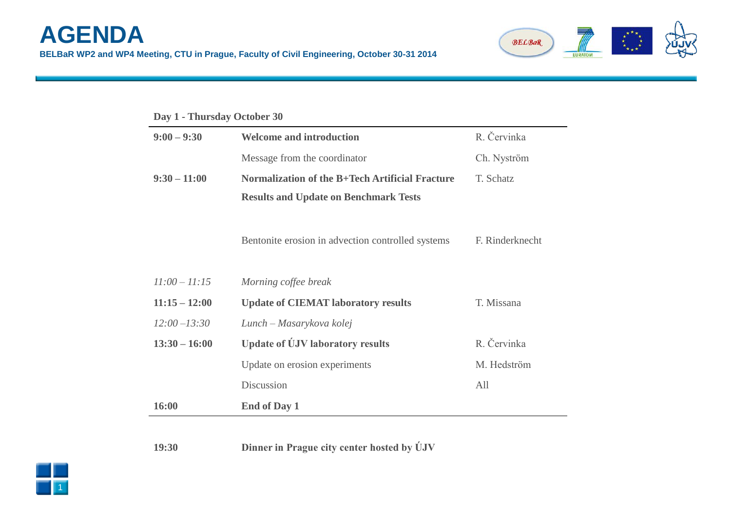

| Day 1 - Thursday October 30 |                                                   |                 |  |
|-----------------------------|---------------------------------------------------|-----------------|--|
| $9:00 - 9:30$               | <b>Welcome and introduction</b>                   | R. Červinka     |  |
|                             | Message from the coordinator                      | Ch. Nyström     |  |
| $9:30 - 11:00$              | Normalization of the B+Tech Artificial Fracture   | T. Schatz       |  |
|                             | <b>Results and Update on Benchmark Tests</b>      |                 |  |
|                             | Bentonite erosion in advection controlled systems | F. Rinderknecht |  |
| $11:00 - 11:15$             | Morning coffee break                              |                 |  |
| $11:15 - 12:00$             | <b>Update of CIEMAT laboratory results</b>        | T. Missana      |  |
| $12:00 - 13:30$             | Lunch – Masarykova kolej                          |                 |  |
| $13:30 - 16:00$             | <b>Update of UJV laboratory results</b>           | R. Červinka     |  |
|                             | Update on erosion experiments                     | M. Hedström     |  |
|                             | Discussion                                        | All             |  |
| 16:00                       | <b>End of Day 1</b>                               |                 |  |

**19:30 Dinner in Prague city center hosted by ÚJV**

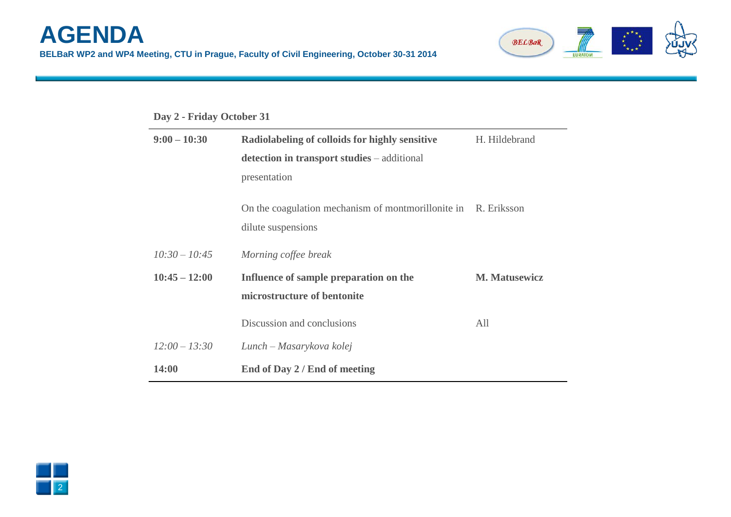

## **Day 2 - Friday October 31**

| $9:00 - 10:30$  | Radiolabeling of colloids for highly sensitive                 | H. Hildebrand        |
|-----------------|----------------------------------------------------------------|----------------------|
|                 | detection in transport studies – additional                    |                      |
|                 | presentation                                                   |                      |
|                 | On the coagulation mechanism of montmorillonite in R. Eriksson |                      |
|                 | dilute suspensions                                             |                      |
| $10:30 - 10:45$ | Morning coffee break                                           |                      |
| $10:45 - 12:00$ | Influence of sample preparation on the                         | <b>M. Matusewicz</b> |
|                 | microstructure of bentonite                                    |                      |
|                 | Discussion and conclusions                                     | All                  |
| $12:00 - 13:30$ | Lunch – Masarykova kolej                                       |                      |
| 14:00           | End of Day 2 / End of meeting                                  |                      |

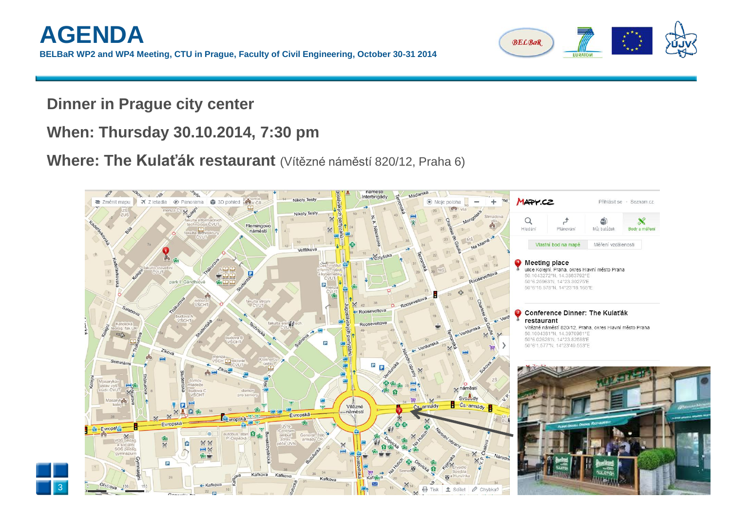

**Dinner in Prague city center**

## **When: Thursday 30.10.2014, 7:30 pm**

**Where: The Kulaťák restaurant** (Vítězné náměstí 820/12, Praha 6)